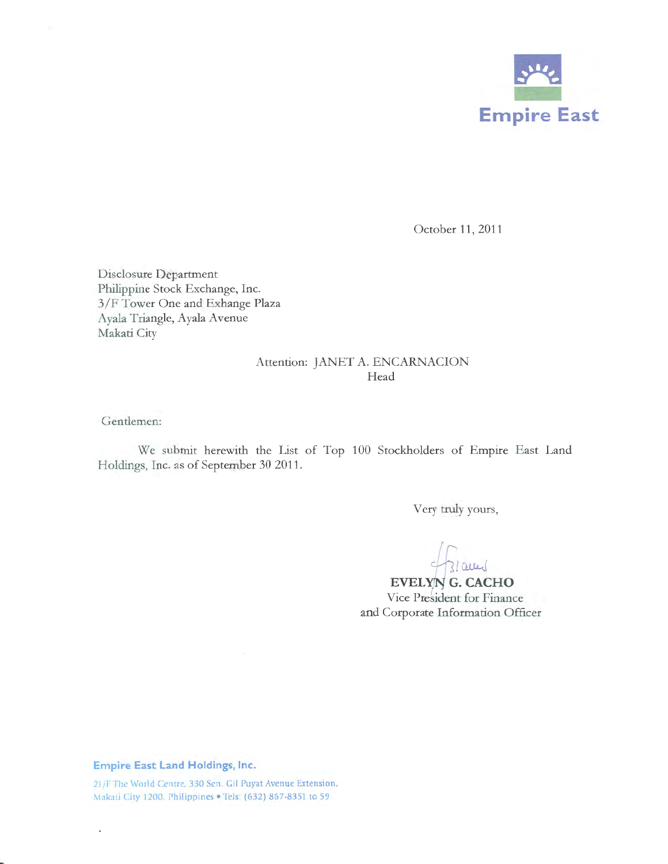

October 11, 2011

Disclosure Department Philippine Stock Exchange, Inc. 3/F Tower One and Exhange Plaza Ayala Triangle, Ayala Avenue Makati City

### Attention: JANET A. ENCARNACION Head

Gentlemen:

We submit herewith the List of Top 100 Stockholders of Empire East Land Holdings, Inc. as of September 30 2011.

Very truly yours,

3/aund

Vice President for Finance EVELYN G. CACHO and Corporate Information Officer

**Empire East Land Holdings, Inc.** 

 $\ddot{\phantom{0}}$ 

21/F The World Centre, 330 Sen. Gil Puyat Avenue Extension, Makati City 1200, Philippines • Tels: (632) 867·8351 to 59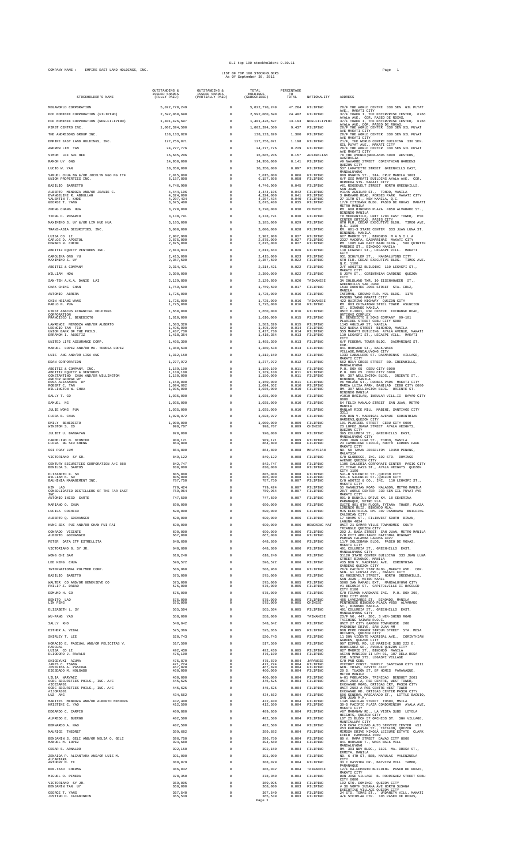### EIL OUP TOU SUCKNOUTEES 9.30.11<br>COMPANY NAME : EMPIRE EAST LAND HOLDINGS, INC.<br>Page 1

## ELI top 100 stockholders 9.30.11

#### LIST OF TOP 100 STOCKHOLDERS As Of September 30, 2011

| STOCKHOLDER'S NAME                                                                         | OUTSTANDING &<br>ISSUED SHARES<br>(FULLY PAID) | OUTSTANDING &<br>ISSUED SHARES<br>(PARTIALLY PAID) | TOTAL<br>HOLDINGS<br>(SUBSCRIBED)       | PERCENTAGE<br>TO<br>TOTAL. | NATIONALITY                      | <b>ADDRESS</b>                                                                                                                                   |
|--------------------------------------------------------------------------------------------|------------------------------------------------|----------------------------------------------------|-----------------------------------------|----------------------------|----------------------------------|--------------------------------------------------------------------------------------------------------------------------------------------------|
| MEGAWORLD CORPORATION                                                                      | 5,022,770,249                                  | $\circ$                                            | 5,022,770,249                           | 47.284                     | FILIPINO                         | 28/F THE WORLD CENTRE 330 SEN. GIL PUYAT<br>AVE., MAKATI CITY                                                                                    |
| PCD NOMINEE CORPORATION (FILIPINO)<br>PCD NOMINEE CORPORATION (NON-FILIPINO)               | 2,592,060,690<br>1,401,426,697                 | $\mathbf 0$<br>$\theta$                            | 2,592,060,690<br>1,401,426,697          | 24.402<br>13.193           | FILIPINO<br>NON-FILIPINO         | 37/F TOWER I, THE ENTERPRISE CENTER, 6766<br>AYALA AVE. COR. PASEO DE ROXAS,<br>37/F TOWER I, THE ENTERPRISE CENTER, 6766                        |
| FIRST CENTRO INC.                                                                          | 1.002.394.500                                  | $^{\circ}$                                         | 1.002.394.500                           | 9.437                      | FILIPINO                         | AYALA AVE. COR. PASEO DE ROXAS,<br>28/F THE WORLD CENTER 330 SEN GIL PUYAT<br>AVE MAKATI CITY                                                    |
| THE ANDRESONS GROUP INC.                                                                   | 138.133.820                                    | $\circ$                                            | 138, 133, 820                           | 1.300                      | FILIPINO                         | 28/F THE WORLD CENTER 330 SEN GIL PUYAT<br>AVE MAKATI CITY                                                                                       |
| EMPIRE EAST LAND HOLDINGS, INC.<br>ANDREW LIM TAN                                          | 127, 256, 071<br>24.277.776                    | $\circ$<br>$^{\circ}$                              | 127, 256, 071<br>24.277.776             | 1.198<br>0.229             | <b>ETLIPINO</b><br>FILIPINO      | 21/F, THE WORLD CENTRE BUILDING 330 SEN.<br>GIL PUYAT AVE., MAKATI CITY<br>28/F THE WORLD CENTER 330 SEN GIL PUYAT                               |
| SIMON LEE SUI HEE                                                                          | 16,685,206                                     | $\circ$                                            | 16,685,206                              | 0.157                      | AUSTRALIAN                       | AVE MAKATI CITY<br>78 THE AVENUE ; NEDLANDS 6009 WESTERN,<br><b>AUSTRALIA</b>                                                                    |
| RAMON UY ONG                                                                               | 14,950,000                                     | $\circ$                                            | 14,950,000                              | 0.141                      | FILIPINO                         | #9 NAVARRO STREET CORINTHIAN GARDENS<br>OUEZON CITY                                                                                              |
| LUCIO W. YAN<br>SAMUEL CHUA NG &/OR JOCELYN NGO NG ITF                                     | 10,350,000<br>7.015.000                        | $\theta$<br>$^{\circ}$                             | 10,350,000<br>7.015.000                 | 0.097<br>0.066             | FILIPINO<br>FILIPINO             | 537 LAFAYETTE STREET GREENHILLS EAST,<br>MANDALUYONG<br>809 ONGPIN ST., STA, CRUZ MANILA 1003                                                    |
| UNION PROPERTIES INC.<br>BASILIO BARRETTO                                                  | 6.157.808<br>4.746.900                         | $^{\circ}$<br>$\circ$                              | 6,157,808<br>4.746.900                  | 0.058<br>0.045             | FILIPINO<br>FILIPINO             | 6/F SSS MAKATI BUILDING AYALA AVE. COR.<br>HERRERA STS. MAKATI CITY<br>#61 ROOSEVELT STREET NORTH GREENHILLS.                                    |
| ALBERTO MENDOZA AND/OR JEANIE C.                                                           | 4.444.106                                      | $\Omega$                                           | 4.444.106                               | 0.042                      | <b>FILIPINO</b>                  | SAN JUAN<br>#1145 AGUILAR ST., TONDO, MANILA<br>3 HARVARD ROAD, FORBES PARK MAKATI CITY                                                          |
| EVANGELINE R. ABDULLAH<br>VALENTIN T. KHOE<br>GEORGE T. YANG                               | 4,324,000<br>4,207,434<br>3,675,400            | $^{\circ}$<br>$\circ$<br>$\circ$                   | 4,324,000<br>4,207,434<br>3,675,400     | 0.041<br>0.040<br>0.035    | FILIPINO<br>FILIPINO<br>FILIPINO | 27 11TH ST., NEW MANILA, Q.C.<br>$17/F$ CITIBANK BLDG. PASEO DE ROXAS MAKATI METRO MANILA                                                        |
| ZHENG CHANG HUA                                                                            | 3,220,000                                      | $\mathbf 0$                                        | 3,220,000                               | 0.030                      | CHINESE                          | RM. 608 BINONDO PLAZA #850 ALVARADO ST.,<br>BINONDO MANILA                                                                                       |
| TIONG C. ROSARIO                                                                           | 3,138,791                                      | $\theta$                                           | 3,138,791                               | 0.030                      | FILIPINO                         | TR MERCANTILE, UNIT 1704 EAST TOWER, PSE<br>CENTER ORTIGAS, PASIG CITY                                                                           |
| MAXIMINO S. UY &/OR LIM HUE HUA<br>TRANS-ASIA SECURITIES, INC                              | 3.105,000<br>3,000,000                         | $^{\circ}$<br>$\circ$                              | 3,105,000<br>3,000,000                  | 0.029<br>0.028             | FILIPINO<br>FILIPINO             | 6TH FLR. CEDAR EXECUTIVE BLDG. TIMOG AVE.<br>Q.C. 1100<br>RM. 601-S STATE CENTER 333 JUAN LUNA ST.                                               |
| LUISA CO LI<br>CARLOS D. APOSTOL                                                           | 2,902,908<br>2.875.000                         | $\circ$<br>$\Omega$                                | 2,902,908<br>2.875.000                  | 0.027<br>0.027             | FILIPINO<br>FILIPINO             | BINONDO, MANILA<br>627 MADRID ST., BINONDO MANILA                                                                                                |
| EDWARD N. CHEOK<br>ABOITIZ EOUITY VENTURES INC.                                            | 2,875,000                                      | $\circ$                                            | 2,875,000                               | 0.027                      | FILIPINO                         | 2327 MACOPA, DASMARINAS MAKATI CITY<br>RM. 1005 FAR EAST BANK BLDG., 560 QUINTIN<br>PAREDES ST., BINONDO MANILA                                  |
| CAROLINA ONG YU                                                                            | 2.813.843<br>2,415,000                         | $\circ$<br>$\circ$                                 | 2.813.843<br>2,415,000                  | 0.026<br>0.023             | FILIPINO<br>FILIPINO             | 110 LEGASPI ST., LEGASPI VILL.<br>MAKATI<br>CITY<br>931 SCHUYLER ST., MANDALUYONG CITY                                                           |
| MAXIMINO S. UY<br>ABOITIZ & COMPANY                                                        | 2,357,500<br>2, 314, 421                       | $^{\circ}$<br>$\Omega$                             | 2.357.500<br>2, 314, 421                | 0.022<br>0.022             | FILIPINO<br>FILIPINO             | 6TH FLR. CEDAR EXECUTIVE BLDG. TIMOG AVE.<br>Q.C. 1100<br>2/F ABOITIZ BUILDING 110 LEGASPI ST.,                                                  |
| WILLIAM HOW                                                                                | 2.300.000                                      | $\mathbf 0$                                        | 2.300.000                               | 0.022                      | FILIPINO                         | MAKATI CITY<br>5 JOYA ST., CORINTHIAN GARDENS QUEZON                                                                                             |
| SAN-TEH A.K.A. DANIE LAI                                                                   | 2,129,800                                      | $\theta$                                           | 2,129,800                               | 0.020                      | TAIWANESE                        | CITY<br>3A GOLDLAND TWR, 10 EISENHOWEER ST.,<br>GREENHILLS SAN JUAN                                                                              |
| CHAK CHING CHAN<br>ANTONIO ABRERA                                                          | 1,759,500<br>1.725.000                         | $\circ$<br>$\mathbf 0$                             | 1,759,500<br>1.725.000                  | 0.017<br>0.016             | FILIPINO<br>FILIPINO             | 1539 DOROTEO JOSE STREET STA. CRUZ,<br>MANILA                                                                                                    |
| CHIN HSIANG WANG                                                                           | 1,725,000                                      | $\circ$                                            | 1,725,000                               | 0.016                      | TAIWANESE                        | INFOMAN, GROUND FLR. MJL BLDG. 1175<br>PASONG TAMO MAKATI CITY<br>422 QUIRINO HIGHWAY QUEZON CITY                                                |
| PABLO N. PUA<br>FIRST ABACUS FINANCIAL HOLDINGS                                            | 1,725,000<br>1,650,000                         | $\circ$<br>$\theta$                                | 1,725,000<br>1,650,000                  | 0.016<br>0.016             | FILIPINO<br>FILIPINO             | RM. 803 CHINATOWN STEEL TOWER ASUNCION<br>ST., BINONDO MANILA<br>UNIT E-3001, PSE CENTRE EXCHANGE ROAD,                                          |
| CORPORATION<br>FRANCISCO L. BENEDICTO                                                      | 1,610,000                                      | $\circ$                                            | 1.610.000                               | 0.015                      | FILIPINO                         | ORTIGAS COMPLEX<br>B. BENEDICTO & SONS COMPANY 99-101<br>PLARIDEL STREET CEBU CITY 6000                                                          |
| LAWRENCE MENDOZA AND/OR ALBERTO<br>LEONCIO TAN TIU                                         | 1,583,320<br>1,495,000                         | $\Omega$<br>$^{\circ}$                             | 1,583,320<br>1,495,000                  | 0.015<br>0.014             | <b>FILIPINO</b><br>FILIPINO      | 1145 AGUILAR ST. MANILA<br>522 NUEVA STREET BINONDO, MANILA                                                                                      |
| UNION BANK OF THE PHILS.<br>ERRAMON I. ABOITIZ                                             | 1,437,730<br>1.418.354                         | $\circ$<br>$^{\circ}$                              | 1,437,730<br>1.418.354                  | 0.014<br>0.013             | FILIPINO<br>FILIPINO             | SSS MAKATI BUILDING AYALA AVENUE, MAKATI<br>110 LEGASPI ST., LEGASPI VILL. MAKATI<br>CITY                                                        |
| UNITED LIFE ASSURANCE CORP.<br>MANUEL LOPEZ AND/OR MA. TERESA LOPEZ                        | 1,405,300<br>1,380,638                         | $\circ$<br>$\circ$                                 | 1,405,300<br>1,380,638                  | 0.013<br>0.013             | FILIPINO<br>FILIPINO             | 6/F FEDERAL TOWER BLDG. DASMARINAS ST.<br>COR.<br>841 HARVARD ST., WACK-WACK                                                                     |
| LUIS ANG AND/OR LISA ANG                                                                   | 1,312,150                                      | $\circ$                                            | 1,312,150                               | 0.012                      | FILIPINO                         | VILLAGE, MANDALUYONG CITY<br>1333 CABALLERO ST. DASMARINAS VILLAGE,                                                                              |
| EDAN CORPORATION                                                                           | 1,277,972                                      | $\circ$                                            | 1,277,972                               | 0.012                      | FILIPINO                         | MAKATI CITY<br>562 HOLY CROSS STREET BO. GREENHILLS,<br>MANDALUYONG                                                                              |
| ABOITIZ & COMPANY, INC.<br>ABOITIZ EQUITY & VENTURES<br>CONSTANTINO CHUA AND/OR WILLINGTON | 1,189,100<br>1,189,100<br>1,150,000            | $\circ$<br>$\Omega$<br>$\mathbf 0$                 | 1,189,100<br>$1,189,100$<br>$1,150,000$ | 0.011<br>0.011<br>0.011    | FILIPINO<br>FILIPINO             | P.O. BOX 65 CEBU CITY 6000<br>P.O. BOX 65 CEBU CITY 6000<br>RM. 307 WELLINGTON BLDG., ORIENTE ST.,                                               |
| AND/OR GEORGE WY<br>ROSA ALEXANDRA UY                                                      | 1,150,000                                      | $\circ$                                            | 1,150,000                               | 0.011                      | FILIPINO<br>FILIPINO             | BINONDO, MANILA<br>#6 MOLAVE ST., FORBES PARK MAKATI CITY<br>MARIA LUISA PARK, BANILAD CEBU CITY 6000                                            |
| ROBERT C. TAN<br>WILLINGTON W. CHUA                                                        | 1,094,662<br>1,035,000                         | $^{\circ}$<br>$\circ$                              | 1,094,662<br>1,035,000                  | 0.010<br>0.010             | FILIPINO<br>FILIPINO             | RM. 307 WELLINGTON BLDG. ORIENTE ST.<br>BINONDO MANILA                                                                                           |
| SALLY T. GO                                                                                | 1,035,000<br>1.035.000                         | $\theta$                                           | 1,035,000<br>1.035.000                  | 0.010<br>0.010             | FILIPINO                         | #1010 BASILAN, INSULAR VILL.II DAVAO CITY<br>8000<br>54 FELIX MANALO STREET SAN JUAN, METRO                                                      |
| SAMUEL NG<br>JULIE WONG PUA                                                                | 1,035,000                                      | $^{\circ}$<br>$\circ$                              | 1,035,000                               | 0.010                      | FILIPINO<br>FILIPINO             | MANILA<br>MANLAR RICE MILL MABINI, SANTIAGO CITY                                                                                                 |
| FLORA B. CHUA                                                                              | 1,028,972                                      | $\mathbf 0$                                        | 1.028.972                               | 0.010                      | FILIPINO                         | 3311<br>#35 DON V. MADRIGAL AVENUE CORINTHIAN<br>GARDENS OUEZON CITY                                                                             |
| EMILY BENEDICTO<br>WINSTON S. CO                                                           | 1,000,000<br>998,707                           | $\circ$<br>$\circ$                                 | 1,000,000<br>998,707                    | 0.009<br>0.009             | FILIPINO<br>CHINESE              | 101 PLARIDEL STREET CEBU CITY 6000<br>23 LOPEZ JUANA STREET AYALA HEIGHTS,                                                                       |
| JULIET U. BANGAYAN                                                                         | 920,000                                        | $\circ$                                            | 920,000                                 | 0.009                      | FILIPINO                         | OUEZON CITY<br>395 COLUMBIA ST., GREENHILLS EAST,<br>MANDALUYONG CITY                                                                            |
| CARMELINO O. DIONIDO<br>FLORA NG SIU KHENG                                                 | 909.121<br>864,800                             | $^{\circ}$<br>$\circ$                              | 909.121<br>864,800                      | 0.009<br>0.008             | FILIPINO<br>FILIPINO             | 2490 JUAN LUNA ST., TONDO, MANILA<br>23 CAMBRIDGE CIRCLE, NORTH FORBES PARK                                                                      |
| OOI POAY LUM<br>VICTORIANO SY SR.                                                          | 864,800<br>849,122                             | $\circ$<br>$\Omega$                                | 864,800<br>849.122                      | 0.008<br>0.008             | MALAYSIAN<br>FILIPINO            | MAKATI CITY<br>NO. 58 TAMAN JESSELTON 10450 PENANG,<br>MALAYSIA                                                                                  |
| CENTURY SECURITIES CORPORATION A/C 888                                                     | 842,747                                        | $\Omega$                                           | 842,747                                 | 0.008                      | FILIPINO                         | $\rm C/O$ GLOBESCO, INC. 192 STO. DOMINGO AVENUE QUEZON CITY<br>1105 GALLERIA CORPORATE CENTER PASIG CITY                                        |
| BENILDA S. SANTOS<br>ELIZABETH K. SO                                                       | 830,000<br>805,000                             | $\Omega$                                           | 830,000<br>805,000                      | 0.008<br>0.008             | FILIPINO<br>FILIPINO             | 21 TIRAD PASS ST., AYALA HEIGHTS<br>QUEZON<br>CITY 1100<br>541-B SILENCIO ST., QUEZON CITY                                                       |
| WILLIAM K. SO<br>BAUHINIA MANAGEMENT INC.                                                  | 805,000<br>787,750                             | $^{\circ}$<br>$^{\circ}$                           | 805,000<br>787,750                      | 0.008<br>0.007             | FILIPINO<br>FILIPINO             | 541-C SILENCIO ST., QUEZON CITY<br>C/O ABOTIZ & CO., INC. 110 LEGASPI ST.,<br>MAKATI CITY                                                        |
| KIM LAO<br>CONSOLIDATED DISTILLERS OF THE FAR EAST                                         | 779.424<br>759,964                             | $^{\circ}$                                         | 779.424<br>759,964                      | 0.007<br>0.007             | FILIPINO<br>FILIPINO             | 55 MANGUSTAN ROAD MALABON, METRO MANILA<br>28/F WORLD CENTER 330 SEN GIL PUYAT AVE                                                               |
| <b>TNC</b><br>ANTONIO INIGO SARTE                                                          | 747,500                                        | $\circ$                                            | 747,500                                 | 0.007                      | FILIPINO                         | MAKATI CITY<br>001-D DUNHILL DRIVE KM. 18 SEVERINA<br>PARANAQUE, METRO MLA.<br>SUITE 901 9TH FLOOR, TYTANA TOWER, PLAZA                          |
| MARIANO O. CHUA<br>LUCILA COCHICO                                                          | 690,000<br>690.000                             | $\Omega$<br>$\circ$                                | 690,000<br>690.000                      | 0.006<br>0.006             | FILIPINO<br>FILIPINO             | LORENZO RUIZ, BINONDO MLA.<br>MJS ELECTRICAL RM. 307 PANORAMA BUILDING                                                                           |
| ALBERTO Q. GOCHANGCO                                                                       | 690,000                                        | $^{\circ}$                                         | 690,000                                 | 0.006                      | FILIPINO                         | CALOOCAN CITY<br>17 ADAMS ST., FILINVEST SOUTH BINAN,                                                                                            |
| HUNG SEK PUI AND/OR CHAN PUI FAI                                                           | 690,000                                        | $^{\circ}$                                         | 690,000                                 | 0.006                      | HONGKONG NAT                     | LAGUNA 4024<br>UNIT 21 SAMAR VILLE TOWNHOMES SOUTH<br>TRIANGLE QUEZON CITY                                                                       |
| CONRADO VICENTE<br>ALBERTO GOCHANGCO                                                       | 690.000<br>667,000                             | $\Omega$<br>0                                      | 690,000<br>667,000                      | 0.006<br>0.006             | <b>FILIPINO</b><br>FILIPINO      | 202 J. BASA STREET SAN JUAN, METRO MANILA<br>C/O CITI APPLIANCE NATIONAL HIGHWAY<br>PARIAN CALAMBA LAGUNA 4027                                   |
| PETER DATA ITF ESTRELLITA<br>VICTORIANO G. SY JR.                                          | 648,600<br>648,600                             | $\Omega$                                           | 648,600<br>648,600                      | 0.006<br>0.006             | FILIPINO<br>FILIPINO             | 11/F SOLIDBANK BLDG. PASEO DE ROXAS, MAKATI CITY                                                                                                 |
| WONG CHI SAM                                                                               | 618,240                                        |                                                    | 618,240                                 | 0.006                      | FILIPINO                         | 401 COLUMBIA ST., GREENHILLS EAST,<br>MANDALUYONG CITY<br>S1120 STATE CENTER BUILDING 333 JUAN LUNA                                              |
| LEE KENG CHUA                                                                              | 596.572                                        | $\Omega$                                           | 596.572                                 | 0.006                      | FILIPINO                         | STREET BINONDO, MANILA<br>#35 DON V. MADRIGAL AVE. CORINTHIAN<br>GARDENS QUEZON CITY                                                             |
| INTERNATIONAL POLYMER CORP<br>BASILIO BARETTO                                              | 586,960<br>575,000                             | $\Omega$<br>$\circ$                                | 586,960<br>575,000                      | 0.006<br>0.005             | FILIPINO<br>FILIPINO             | 26/F PACIFIC STAR BLDG., MAKATI AVE. COR.<br>SEN. GI LPUYAT AVE., MAKATI CITY<br>61 ROOSEVELT STREET, NORTH GREE<br>NORTH GREENHILLS,            |
| WALTER CO AND/OR GENEVIEVE CO                                                              | 575,000                                        | $\circ$                                            | 575,000                                 | 0.005                      | FILIPINO                         | SAN JUAN , METRO MANIL<br>5060 SAN RAFAEL EXT. MANDALUYONG CITY                                                                                  |
| PHILIP Z. DABAO<br>EDMUND H. GO                                                            | 575,000<br>575,000                             | $\circ$<br>$\circ$                                 | 575,000<br>575,000                      | 0.005<br>0.005             | FILIPINO<br>FILIPINO             | #1 BEGONIA ST. CAPITOLVILLE II BACOLOD<br>CITY 6100<br>C/O FILMON HARDWARE INC. P.O. BOX 390,                                                    |
| BENITO LAO<br>LIN FENG                                                                     | 575.000<br>575,000                             | $\Omega$<br>$^{\circ}$                             | 575.000<br>575,000                      | 0.005<br>0.005             | FILIPINO<br>CHINESE              | CEBU CITY 6000<br>485 LAVEZARES ST. BINONDO, MANILA<br>PENTHOUSE BINONDO PLAZA #850 ALVARADO                                                     |
| ELIZABETH L. SY                                                                            | 565.504                                        | $^{\circ}$                                         | 565.504                                 | 0.005                      | FILIPINO                         | ST., BINONDO MANILA<br>401 COLUMBIA ST., GREENHILLS EAST,                                                                                        |
| WU-PANG YAO                                                                                | 558,000                                        | $\Omega$                                           | 558,000                                 | 0.005                      | TAIWANESE                        | MANDALUYONG CITY<br>$23/F$ NO. $447$ , SEC. 3 WEN-SHING ROAD TAICHING TAIWAN R.O.C.                                                              |
| SALLY KHO<br>ESTHER A. VIBAL                                                               | 548,642<br>525,366                             | $^{\circ}$                                         | 548,642<br>525,366                      | 0.005<br>0.005             | FILIPINO<br>FILIPINO             | UNIT 27 CITY GARDEN TOWNHOUSE 208<br>PASADENA DRIVE, SAN JUAN MM<br>DON PEPE CORNER SIROUN STREET STA. MESA                                      |
| SHIRLEY T. LEE                                                                             | 520.743                                        | $\Omega$                                           | 520.743                                 | 0.005                      | FILIPINO                         | HEIGHTS, QUEZON CITY<br>11 DON VICENTE MADRIGAL AVE., CORINTHIAN                                                                                 |
| HORACIO E. PASCUAL AND/OR FELICITAS V.<br>PASCUAL                                          | 517,500                                        | $\circ$                                            | 517,500                                 | 0.005                      | FILIPINO                         | GARDEN, QUEZON CITY<br>907 EIFFEL RD. LE MARICHE SUBD 222 E.                                                                                     |
| LUISA CO LI<br>ELIODORO J. RAVALO                                                          | 492.430<br>476,100                             | $\circ$<br>$\circ$                                 | 492.430<br>476,100                      | 0.005<br>0.004             | FILIPINO<br>FILIPINO             | RODRIGUEZ SR., AVENUE QUEZON CITY<br>627 MADRID ST., BINONDO MANILA<br>ASIAN MANSION II LPH 01, 107 DELA ROSA<br>COR. NIEVA STS. LEGASPI VILLAGE |
| SHIGEYUKI AZUMA<br>JAMES C. TSANG                                                          | 475,870<br>471,224<br>467,820                  | $\circ$<br>$\Omega$                                | 475,870<br>471,224<br>467,820           | 0.004<br>0.004             | <b>JAPANESE</b><br>FILIPINO      | C/O PNB CEBU<br>VICTORY CONST. SUPPLY SANTIAGO CITY 3311 GEN. TRIAS, CAVITE 4107                                                                 |
| JOSEFINA A. PASCUAL<br>DIOSDADO M. HOLGADO                                                 | 460,000                                        | $^{\circ}$<br>$\circ$                              | 460,000                                 | 0.004<br>0.004             | FILIPINO<br>FILIPINO             | 20 D. TUASON ST. BF HOMES PARANAQUE,<br>METRO MANILA                                                                                             |
| LILIA NARVAEZ<br>OCBC SECURITIES PHILS., INC. A/C<br>#ICESAR01                             | 460,000<br>445,625                             | $\circ$<br>$\circ$                                 | 460,000<br>445,625                      | 0.004<br>0.004             | FILIPINO<br>FILIPINO             | A-01 POBLACION, TRINIDAD BENGUET 2601<br>UNIT 2502-A, PSE CENTRE, WEST TOWER,                                                                    |
| OCBC SECURITIES PHILS., INC. A/C<br>#IJOPAS01                                              | 445,625                                        | $\circ$                                            | 445,625                                 | 0.004                      | FILIPINO                         | EXCHANGE ROAD, ORTIGAS CRT, PASIG CITY<br>UNIT 2502-A PSE CENTRE WEST TOWER<br>EXCHANGE RD. ORTIGAS CENTER PASIG CITY                            |
| LUZ ANG<br>MARITES MENDOZA AND/OR ALBERTO MENDOZA                                          | 434,562<br>432.400                             | $^{\circ}$<br>$\Omega$                             | 434,562<br>432.400                      | 0.004<br>0.004             | FILIPINO<br><b>FILIPINO</b>      | 506 GENERAL MASCARADO ST., LITTLE BAGUIO,<br>SAN JUAN M.M.<br>1145 AGUILAR STREET TONDO, MNILA<br>30-D PACIFIC PLAZA CONDOMINIUM AYALA AVE.      |
| KRISTINE C. YAO<br>EDGARDO C. CARPIO                                                       | 412,500<br>409,860                             | 0<br>$\Omega$                                      | 412,500<br>409,860                      | 0.004<br>0.004             | FILIPINO<br>FILIPINO             | MAKATI CITY                                                                                                                                      |
| ALFREDO E. BUERGO                                                                          | 402,500                                        | $\circ$                                            | 402,500                                 | 0.004                      | FILIPINO                         | #67 MARANAW RD., LA VISTA SUBD LOYOLA<br>HEIGHTS, QUEZON CITY<br>LOT 25 BLOCK 57 ORCHIDS ST. SGH VILLAGE,                                        |
| BERNARDO A. HAO                                                                            | 402,500                                        | $\circ$                                            | 402,500                                 | 0.004                      | FILIPINO                         | MUNTINLUPA CITY<br>C/O CASA CIUDAD AUTO SERVICE CENTER<br>#51<br>#53 KABIGNAYAN ST., TATALON, QUEZON                                             |
| MAURICE THEORET<br>BENJAMIN S. GELI AND/OR NELIA O. GELI                                   | 399,682<br>396.750                             | $^{\circ}$<br>$\Omega$                             | 399.682<br>396.750                      | 0.004<br>0.004             | FILIPINO<br>FILIPINO             | MIMOSA DRIVE MIMOSA LEISURE ESTATE CLARK<br>FIELD PAMPANGA 2009<br>80 V. MAPA STREET DAVAO CITY 8000                                             |
| MANITRI, M. LOPEZ                                                                          | 394,680                                        | $^{\circ}$                                         | 394,680                                 | 0.004                      | FILIPINO                         | 841 HARVARD T., WACK WACK VILL<br>MANDALUYONG                                                                                                    |
| CESAR S. ARNALDO<br>ZENAIDA P. ALCANTARA AND/OR LUIS M.                                    | 392,150<br>391,000                             | $\Omega$                                           | 392,150<br>391,000                      | 0.004<br>0.004             | FILIPINO<br>FILIPINO             | RM. 303 NBV BLDG., 1191 MA. OROSA ST.,<br>ERMITA, MANILA<br>NO. 6 4TH ST, BBB, MARULAS VALENZUELA                                                |
| <b>ALCANTARA</b><br>ANTHONY M. TE                                                          | 388,079                                        | $^{\circ}$                                         | 388,079                                 | 0.004                      | FILIPINO                         | CITY<br>33 C BAYVIEW DR., BAYVIEW VILL TAMBO,<br>PARANAQUE                                                                                       |
| BEN-TZAO CHERNG<br>MIGUEL O. PINEDA                                                        | 386,032                                        | $^{\circ}$<br>$\Omega$                             | 386,032                                 | 0.004<br>0.004             | TAIWANESE<br>FILIPINO            | 12/F BA-LEPANTO BUILDING PASEO DE ROXAS.<br>MAKATI CITY                                                                                          |
| VICTORIANO SY JR.                                                                          | 378,350<br>369,095                             | $\circ$                                            | 378,350<br>369,095                      | 0.003                      | FILIPINO                         | DON JOSE VILLAGE B. RODRIGUEZ STREET CEBU<br>CITY 6000<br>192 STO. DOMINGO QUEZON CITY                                                           |
| BENJAMIN TAN UY<br>GEORGE T. YANG                                                          | 368,000<br>367,540                             | $^{\circ}$<br>$\mathbf 0$                          | 368,000<br>367.540                      | 0.003<br>0.003             | FILIPINO<br>FILIPINO             | $\#$ 36 NORTH SUSANA AVE NORTH SUSANA EXECUTIVE VILLAGE QUEZON CITY<br>24 STO. TOMAS ST.,<br>URDANETA VILL. MAKATI                               |
| JUSTINO H. CACANINDIN                                                                      | 365,539                                        | $^{\circ}$                                         | 365,539<br>Page 1                       | 0.003                      | FILIPINO                         | 4/F SYCIPLAW CTR. 105 PASEO DE ROXAS,                                                                                                            |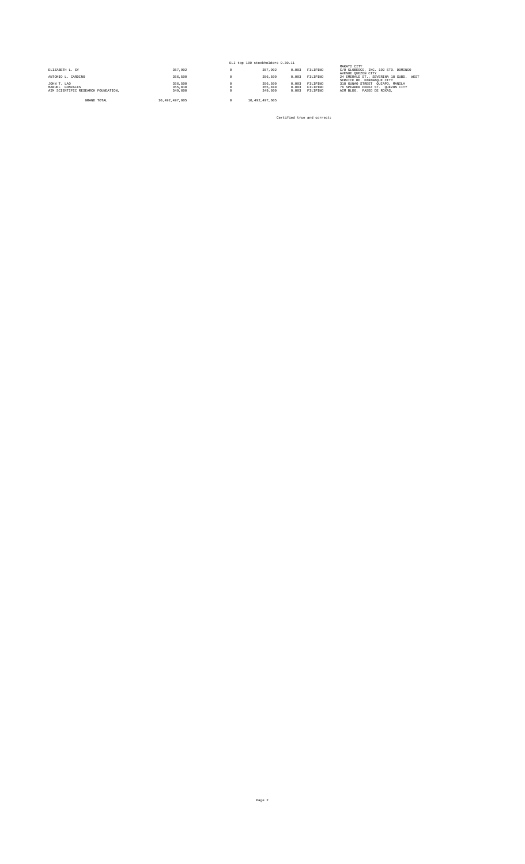|                                     |                |   | ELI top 100 stockholders 9.30.11 |       |          |                                                                          |
|-------------------------------------|----------------|---|----------------------------------|-------|----------|--------------------------------------------------------------------------|
| ELIZABETH L. SY                     | 357.902        | Ω | 357.902                          | 0.003 | FILIPINO | MAKATI CITY<br>C/O GLOBESCO, INC. 192 STO. DOMINGO<br>AVENUE OUEZON CITY |
| ANTONIO L. CARDINO                  | 356.500        |   | 356,500                          | 0.003 | FILIPINO | 24 EMERALD ST., SEVERINA 18 SUBD. WEST<br>SERVICE RD. PARANAQUE CITY     |
| JOHN T. LAO                         | 356.500        |   | 356,500                          | 0.003 | FILIPINO | 318 GUNAO STREET OUIAPO, MANILA                                          |
| MANUEL GONZALES                     | 355,810        |   | 355,810                          | 0.003 | FILIPINO | 76 SPEAKER PEREZ ST. OUEZON CITY                                         |
| AIM SCIENTIFIC RESEARCH FOUNDATION. | 349,600        |   | 349,600                          | 0.003 | FILIPINO | AIM BLDG. PASEO DE ROXAS.                                                |
|                                     |                |   |                                  |       |          |                                                                          |
| GRAND TOTAL                         | 10.492.497.605 |   | 10.492.497.605                   |       |          |                                                                          |

Certified true and correct: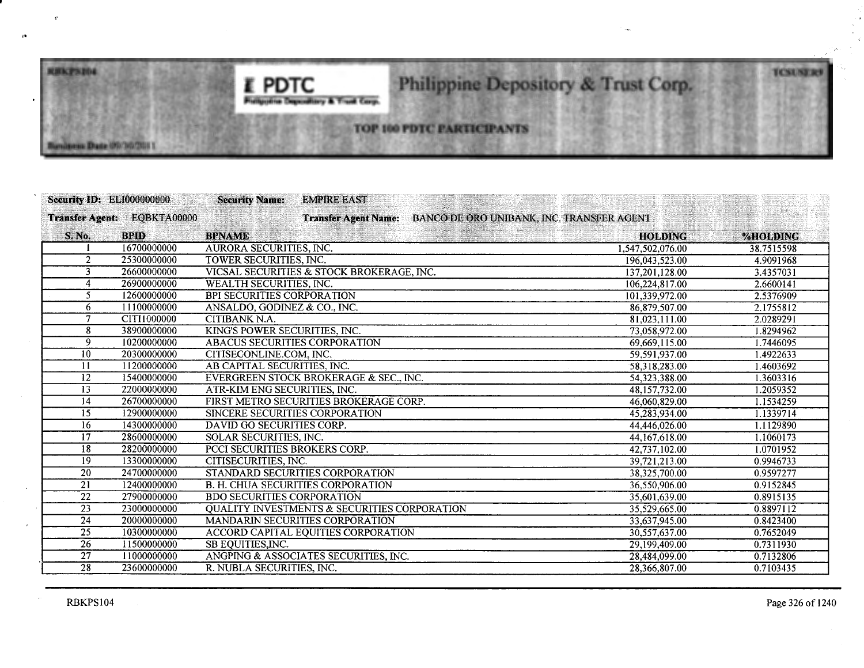## I **PDTC Philippine Depository & Trust Carp.**

# Philippine Depository & Trust Corp.

## **TOP 100 PDTC PARTICIPANTS**

| <b>Security ID: ELI000000000</b> |                             | <b>Security Name:</b><br><b>EMPIRE EAST</b>             |                                           |            |
|----------------------------------|-----------------------------|---------------------------------------------------------|-------------------------------------------|------------|
|                                  | Transfer Agent: EQBKTA00000 | <b>Transfer Agent Name:</b>                             | BANCO DE ORO UNIBANK, INC. TRANSFER AGENT |            |
| S. No.                           | <b>BPID</b>                 | <b>BPNAME</b>                                           | <b>HOLDING</b>                            | %HOLDING   |
|                                  | 16700000000                 | AURORA SECURITIES, INC.                                 | 1,547,502,076.00                          | 38.7515598 |
| $\overline{2}$                   | 25300000000                 | TOWER SECURITIES, INC.                                  | 196,043,523.00                            | 4.9091968  |
|                                  | 26600000000                 | VICSAL SECURITIES & STOCK BROKERAGE, INC.               | 137,201,128.00                            | 3.4357031  |
| 4                                | 26900000000                 | WEALTH SECURITIES, INC.                                 | 106,224,817.00                            | 2.6600141  |
| $\mathfrak{S}$                   | 12600000000                 | <b>BPI SECURITIES CORPORATION</b>                       | 101,339,972.00                            | 2.5376909  |
| 6                                | 11100000000                 | ANSALDO, GODINEZ & CO., INC.                            | 86,879,507.00                             | 2.1755812  |
| 7                                | CITI1000000                 | CITIBANK N.A.                                           | 81,023,111.00                             | 2.0289291  |
| 8                                | 38900000000                 | KING'S POWER SECURITIES, INC.                           | 73,058,972.00                             | 1.8294962  |
| 9                                | 10200000000                 | <b>ABACUS SECURITIES CORPORATION</b>                    | 69,669,115.00                             | 1.7446095  |
| $\overline{10}$                  | 20300000000                 | CITISECONLINE.COM. INC.                                 | 59,591,937.00                             | 1.4922633  |
| 11                               | 11200000000                 | AB CAPITAL SECURITIES, INC.                             | 58,318,283.00                             | 1.4603692  |
| 12                               | 15400000000                 | EVERGREEN STOCK BROKERAGE & SEC., INC.                  | 54,323,388.00                             | 1.3603316  |
| 13                               | 22000000000                 | ATR-KIM ENG SECURITIES, INC.                            | 48,157,732.00                             | 1.2059352  |
| 14                               | 26700000000                 | FIRST METRO SECURITIES BROKERAGE CORP.                  | 46,060,829.00                             | 1.1534259  |
| $\overline{15}$                  | 12900000000                 | SINCERE SECURITIES CORPORATION                          | 45,283,934.00                             | 1.1339714  |
| 16                               | 14300000000                 | DAVID GO SECURITIES CORP.                               | 44,446,026.00                             | 1.1129890  |
| $\overline{17}$                  | 28600000000                 | <b>SOLAR SECURITIES, INC.</b>                           | 44,167,618.00                             | 1.1060173  |
| $\overline{18}$                  | 28200000000                 | <b>PCCI SECURITIES BROKERS CORP.</b>                    | 42,737,102.00                             | 1.0701952  |
| 19                               | 13300000000                 | CITISECURITIES, INC.                                    | 39,721,213.00                             | 0.9946733  |
| $\overline{20}$                  | 24700000000                 | STANDARD SECURITIES CORPORATION                         | 38,325,700.00                             | 0.9597277  |
| 21                               | 12400000000                 | <b>B. H. CHUA SECURITIES CORPORATION</b>                | 36,550,906.00                             | 0.9152845  |
| 22                               | 27900000000                 | <b>BDO SECURITIES CORPORATION</b>                       | 35.601.639.00                             | 0.8915135  |
| $\overline{23}$                  | 23000000000                 | <b>QUALITY INVESTMENTS &amp; SECURITIES CORPORATION</b> | 35,529,665.00                             | 0.8897112  |
| 24                               | 20000000000                 | <b>MANDARIN SECURITIES CORPORATION</b>                  | 33,637,945.00                             | 0.8423400  |
| 25                               | 10300000000                 | ACCORD CAPITAL EQUITIES CORPORATION                     | 30,557,637.00                             | 0.7652049  |
| 26                               | 11500000000                 | SB EQUITIES, INC.                                       | 29,199,409.00                             | 0.7311930  |
| 27                               | 11000000000                 | ANGPING & ASSOCIATES SECURITIES, INC.                   | 28,484,099.00                             | 0.7132806  |
| $\overline{28}$                  | 23600000000                 | R. NUBLA SECURITIES. INC.                               | 28.366.807.00                             | 0.7103435  |

..

**REKPSIOL** 

alment Date (Ph')/L/2011

**TCSUSER**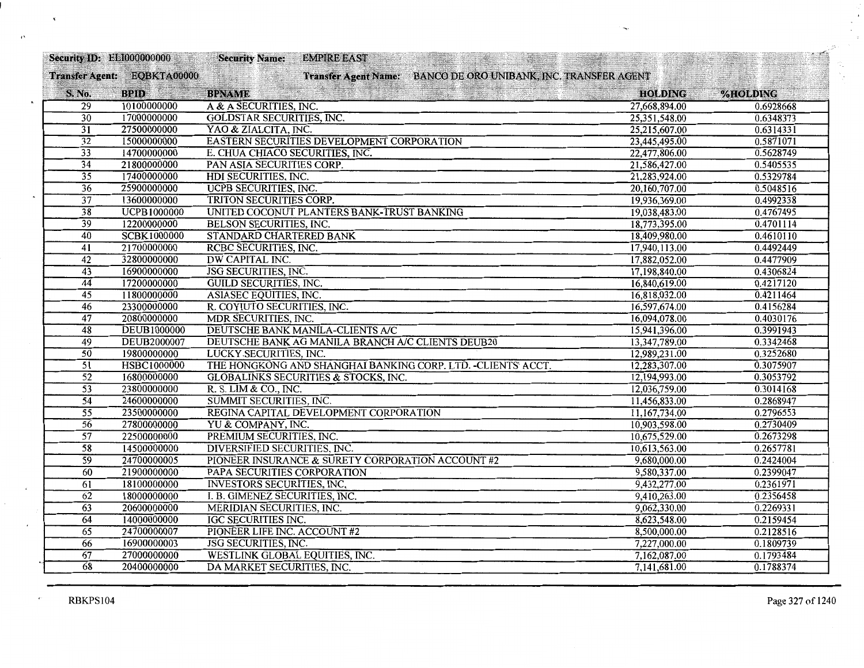| <b>Security ID: EL1000000000</b> |                             | <b>Security Name:</b>               | <b>EMPIRE EAST</b>                                             |                |           |
|----------------------------------|-----------------------------|-------------------------------------|----------------------------------------------------------------|----------------|-----------|
|                                  | Transfer Agent: EQBKTA00000 |                                     | Transfer Agent Name: BANCO DE ORO UNIBANK, INC. TRANSFER AGENT |                |           |
| S. No.                           | <b>BPID</b>                 | <b>BPNAME</b>                       |                                                                | <b>HOLDING</b> | %HOLDING  |
| $\overline{29}$                  | 10100000000                 | A & A SECURITIES, INC.              |                                                                | 27,668,894.00  | 0.6928668 |
| $\overline{30}$                  | 17000000000                 | <b>GOLDSTAR SECURITIES, INC.</b>    |                                                                | 25,351,548.00  | 0.6348373 |
| $\overline{31}$                  | 27500000000                 | YAO & ZIALCITA, INC.                |                                                                | 25,215,607.00  | 0.6314331 |
| $\overline{32}$                  | 15000000000                 |                                     | EASTERN SECURITIES DEVELOPMENT CORPORATION                     | 23,445,495.00  | 0.5871071 |
| $\overline{33}$                  | 14700000000                 | E. CHUA CHIACO SECURITIES, INC.     |                                                                | 22,477,806.00  | 0.5628749 |
| $\overline{34}$                  | 21800000000                 | PAN ASIA SECURITIES CORP.           |                                                                | 21,586,427.00  | 0.5405535 |
| $\overline{35}$                  | 17400000000                 | HDI SECURITIES, INC.                |                                                                | 21,283,924.00  | 0.5329784 |
| $\overline{36}$                  | 25900000000                 | <b>UCPB SECURITIES, INC.</b>        |                                                                | 20,160,707.00  | 0.5048516 |
| $\overline{37}$                  | 13600000000                 | TRITON SECURITIES CORP.             |                                                                | 19,936,369.00  | 0.4992338 |
| $\overline{38}$                  | <b>UCPB1000000</b>          |                                     | UNITED COCONUT PLANTERS BANK-TRUST BANKING                     | 19,038,483.00  | 0.4767495 |
| $\overline{39}$                  | 12200000000                 | <b>BELSON SECURITIES, INC.</b>      |                                                                | 18,773,395.00  | 0.4701114 |
| 40                               | SCBK1000000                 | STANDARD CHARTERED BANK             |                                                                | 18,409,980.00  | 0.4610110 |
| $\overline{41}$                  | 21700000000                 | <b>RCBC SECURITIES, INC.</b>        |                                                                | 17,940,113.00  | 0.4492449 |
| 42                               | 32800000000                 | DW CAPITAL INC.                     |                                                                | 17,882,052.00  | 0.4477909 |
| $\overline{43}$                  | 16900000000                 | <b>JSG SECURITIES, INC.</b>         |                                                                | 17,198,840.00  | 0.4306824 |
| $\overline{44}$                  | 17200000000                 | <b>GUILD SECURITIES, INC.</b>       |                                                                | 16,840,619.00  | 0.4217120 |
| $\overline{45}$                  | 11800000000                 | ASIASEC EQUITIES, INC.              |                                                                | 16,818,032.00  | 0.4211464 |
| 46                               | 23300000000                 | R. COYIUTO SECURITIES, INC.         |                                                                | 16,597,674.00  | 0.4156284 |
| $\overline{47}$                  | 20800000000                 | MDR SECURITIES, INC.                |                                                                | 16,094,078.00  | 0.4030176 |
| 48                               | <b>DEUB1000000</b>          |                                     | DEUTSCHE BANK MANILA-CLIENTS A/C                               | 15,941,396.00  | 0.3991943 |
| $\overline{49}$                  | <b>DEUB2000007</b>          |                                     | DEUTSCHE BANK AG MANILA BRANCH A/C CLIENTS DEUB20              | 13,347,789.00  | 0.3342468 |
| $\overline{50}$                  | 19800000000                 | LUCKY SECURITIES, INC.              |                                                                | 12,989,231.00  | 0.3252680 |
| $\overline{51}$                  | HSBC1000000                 |                                     | THE HONGKONG AND SHANGHAI BANKING CORP. LTD. - CLIENTS' ACCT.  | 12,283,307.00  | 0.3075907 |
| $\overline{52}$                  | 16800000000                 |                                     | <b>GLOBALINKS SECURITIES &amp; STOCKS, INC.</b>                | 12,194,993.00  | 0.3053792 |
| $\overline{53}$                  | 23800000000                 | R. S. LIM & CO., INC.               |                                                                | 12,036,759.00  | 0.3014168 |
| $\overline{54}$                  | 24600000000                 | SUMMIT SECURITIES, INC.             |                                                                | 11,456,833.00  | 0.2868947 |
| $\overline{55}$                  | 23500000000                 |                                     | REGINA CAPITAL DEVELOPMENT CORPORATION                         | 11,167,734.00  | 0.2796553 |
| $\overline{56}$                  | 27800000000                 | YU & COMPANY, INC.                  |                                                                | 10,903,598.00  | 0.2730409 |
| $\overline{57}$                  | 22500000000                 | PREMIUM SECURITIES, INC.            |                                                                | 10,675,529.00  | 0.2673298 |
| $\overline{58}$                  | 14500000000                 | <b>DIVERSIFIED SECURITIES, INC.</b> |                                                                | 10,613,563.00  | 0.2657781 |
| $\overline{59}$                  | 24700000005                 |                                     | PIONEER INSURANCE & SURETY CORPORATION ACCOUNT #2              | 9,680,000.00   | 0.2424004 |
| $\overline{60}$                  | 21900000000                 | PAPA SECURITIES CORPORATION         |                                                                | 9,580,337.00   | 0.2399047 |
| 61                               | 18100000000                 | <b>INVESTORS SECURITIES, INC.</b>   |                                                                | 9,432,277.00   | 0.2361971 |
| 62                               | 18000000000                 | I. B. GIMENEZ SECURITIES, INC.      |                                                                | 9,410,263.00   | 0.2356458 |
| $\overline{63}$                  | 20600000000                 | <b>MERIDIAN SECURITIES, INC.</b>    |                                                                | 9,062,330.00   | 0.2269331 |
| 64                               | 14000000000                 | <b>IGC SECURITIES INC.</b>          |                                                                | 8,623,548.00   | 0.2159454 |
| $\overline{65}$                  | 24700000007                 | PIONEER LIFE INC. ACCOUNT #2        |                                                                | 8,500,000.00   | 0.2128516 |
| 66                               | 16900000003                 | <b>JSG SECURITIES, INC.</b>         |                                                                | 7,227,000.00   | 0.1809739 |
| 67                               | 27000000000                 | WESTLINK GLOBAL EQUITIES, INC.      |                                                                | 7,162,087.00   | 0.1793484 |
| $\overline{68}$                  | 20400000000                 | DA MARKET SECURITIES, INC.          |                                                                | 7,141,681.00   | 0.1788374 |
|                                  |                             |                                     |                                                                |                |           |

ċ

Ń.

 $\mathcal{F}^{\mathbf{t}}$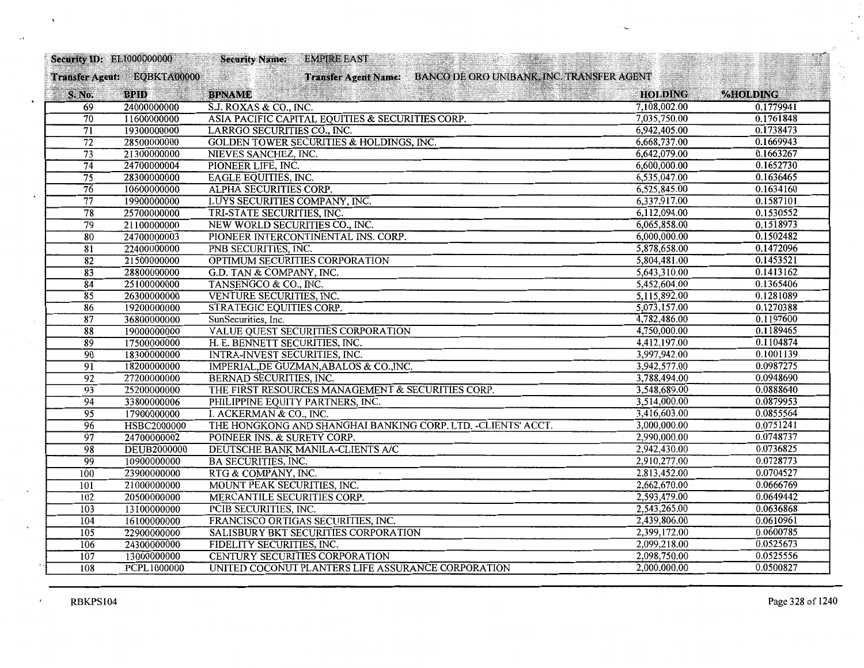| <b>Security ID: EL1000000000</b> |                             | <b>Security Name:</b>            | <b>EMPIRE EAST</b>                                  |                                                                |                |           |
|----------------------------------|-----------------------------|----------------------------------|-----------------------------------------------------|----------------------------------------------------------------|----------------|-----------|
|                                  | Transfer Agent: EQBKTA00000 |                                  |                                                     | Transfer Agent Name: BANCO DE ORO UNIBANK, INC. TRANSFER AGENT |                |           |
| S. No.                           | <b>BPID</b>                 | <b>BPNAME</b>                    |                                                     |                                                                | <b>HOLDING</b> | %HOLDING  |
| 69                               | 24000000000                 | S.J. ROXAS & CO., INC.           |                                                     |                                                                | 7,108,002.00   | 0.1779941 |
| 70                               | 11600000000                 |                                  | ASIA PACIFIC CAPITAL EQUITIES & SECURITIES CORP.    |                                                                | 7,035,750.00   | 0.1761848 |
| $\overline{71}$                  | 19300000000                 | LARRGO SECURITIES CO., INC.      |                                                     |                                                                | 6,942,405.00   | 0.1738473 |
| $\overline{72}$                  | 28500000000                 |                                  | <b>GOLDEN TOWER SECURITIES &amp; HOLDINGS, INC.</b> |                                                                | 6,668,737.00   | 0.1669943 |
| $\overline{73}$                  | 21300000000                 | NIEVES SANCHEZ, INC.             |                                                     |                                                                | 6,642,079.00   | 0.1663267 |
| $\overline{74}$                  | 24700000004                 | PIONEER LIFE, INC.               |                                                     |                                                                | 6,600,000.00   | 0.1652730 |
| $\overline{75}$                  | 28300000000                 | <b>EAGLE EQUITIES, INC.</b>      |                                                     |                                                                | 6,535,047.00   | 0.1636465 |
| $\overline{76}$                  | 10600000000                 | ALPHA SECURITIES CORP.           |                                                     |                                                                | 6,525,845.00   | 0.1634160 |
| $\overline{77}$                  | 19900000000                 | LUYS SECURITIES COMPANY, INC.    |                                                     |                                                                | 6,337,917.00   | 0.1587101 |
| $\overline{78}$                  | 25700000000                 | TRI-STATE SECURITIES, INC.       |                                                     |                                                                | 6,112,094.00   | 0.1530552 |
| 79                               | 21100000000                 | NEW WORLD SECURITIES CO., INC.   |                                                     |                                                                | 6,065,858.00   | 0.1518973 |
| 80                               | 24700000003                 |                                  | PIONEER INTERCONTINENTAL INS. CORP.                 |                                                                | 6,000,000.00   | 0.1502482 |
| $\overline{81}$                  | 22400000000                 | PNB SECURITIES, INC.             |                                                     |                                                                | 5,878,658.00   | 0.1472096 |
| 82                               | 21500000000                 |                                  | OPTIMUM SECURITIES CORPORATION                      |                                                                | 5,804,481.00   | 0.1453521 |
| $\overline{83}$                  | 28800000000                 | G.D. TAN & COMPANY, INC.         |                                                     |                                                                | 5,643,310.00   | 0.1413162 |
| 84                               | 25100000000                 | TANSENGCO & CO., INC.            |                                                     |                                                                | 5,452,604.00   | 0.1365406 |
| $\overline{85}$                  | 26300000000                 | VENTURE SECURITIES, INC.         |                                                     |                                                                | 5,115,892.00   | 0.1281089 |
| 86                               | 19200000000                 | STRATEGIC EQUITIES CORP.         |                                                     |                                                                | 5,073,157.00   | 0.1270388 |
| $\overline{87}$                  | 36800000000                 | SunSecurities, Inc.              |                                                     |                                                                | 4,782,486.00   | 0.1197600 |
| 88                               | 19000000000                 |                                  | VALUE QUEST SECURITIES CORPORATION                  |                                                                | 4,750,000.00   | 0.1189465 |
| $\overline{89}$                  | 17500000000                 | H. E. BENNETT SECURITIES, INC.   |                                                     |                                                                | 4,412,197.00   | 0.1104874 |
| $\overline{90}$                  | 18300000000                 | INTRA-INVEST SECURITIES, INC.    |                                                     |                                                                | 3,997,942.00   | 0.1001139 |
| $\overline{91}$                  | 18200000000                 |                                  | IMPERIAL, DE GUZMAN, ABALOS & CO., INC.             |                                                                | 3,942,577.00   | 0.0987275 |
| $\overline{92}$                  | 27200000000                 | <b>BERNAD SECURITIES, INC.</b>   |                                                     |                                                                | 3,788,494.00   | 0.0948690 |
| $\overline{93}$                  | 25200000000                 |                                  | THE FIRST RESOURCES MANAGEMENT & SECURITIES CORP.   |                                                                | 3,548,689.00   | 0.0888640 |
| $\overline{94}$                  | 33800000006                 | PHILIPPINE EQUITY PARTNERS, INC. |                                                     |                                                                | 3,514,000.00   | 0.0879953 |
| 95                               | 17900000000                 | I. ACKERMAN & CO., INC.          |                                                     |                                                                | 3,416,603.00   | 0.0855564 |
| 96                               | HSBC2000000                 |                                  |                                                     | THE HONGKONG AND SHANGHAI BANKING CORP. LTD. - CLIENTS' ACCT.  | 3,000,000.00   | 0.0751241 |
| $\overline{97}$                  | 24700000002                 | POINEER INS. & SURETY CORP.      |                                                     |                                                                | 2,990,000.00   | 0.0748737 |
| 98                               | <b>DEUB2000000</b>          |                                  | DEUTSCHE BANK MANILA-CLIENTS A/C                    |                                                                | 2,942,430.00   | 0.0736825 |
| 99                               | 10900000000                 | <b>BA SECURITIES, INC.</b>       |                                                     |                                                                | 2,910,277.00   | 0.0728773 |
| 100                              | 23900000000                 | RTG & COMPANY, INC.              |                                                     |                                                                | 2,813,452.00   | 0.0704527 |
| 101                              | 21000000000                 | MOUNT PEAK SECURITIES, INC.      |                                                     |                                                                | 2,662,670.00   | 0.0666769 |
| 102                              | 20500000000                 | MERCANTILE SECURITIES CORP.      |                                                     |                                                                | 2,593,479.00   | 0.0649442 |
| 103                              | 13100000000                 | PCIB SECURITIES, INC.            |                                                     |                                                                | 2,543,265.00   | 0.0636868 |
| 104                              | 16100000000                 |                                  | FRANCISCO ORTIGAS SECURITIES, INC.                  |                                                                | 2,439,806.00   | 0.0610961 |
| 105                              | 22900000000                 |                                  | SALISBURY BKT SECURITIES CORPORATION                |                                                                | 2,399,172.00   | 0.0600785 |
| 106                              | 24300000000                 | FIDELITY SECURITIES, INC.        |                                                     |                                                                | 2,099,218.00   | 0.0525673 |
| 107                              | 13000000000                 |                                  | CENTURY SECURITIES CORPORATION                      |                                                                | 2,098,750.00   | 0.0525556 |
| 108                              | PCPL1000000                 |                                  | UNITED COCONUT PLANTERS LIFE ASSURANCE CORPORATION  |                                                                | 2,000,000.00   | 0.0500827 |

 $\mathbf{r}$ 

 $\cdot$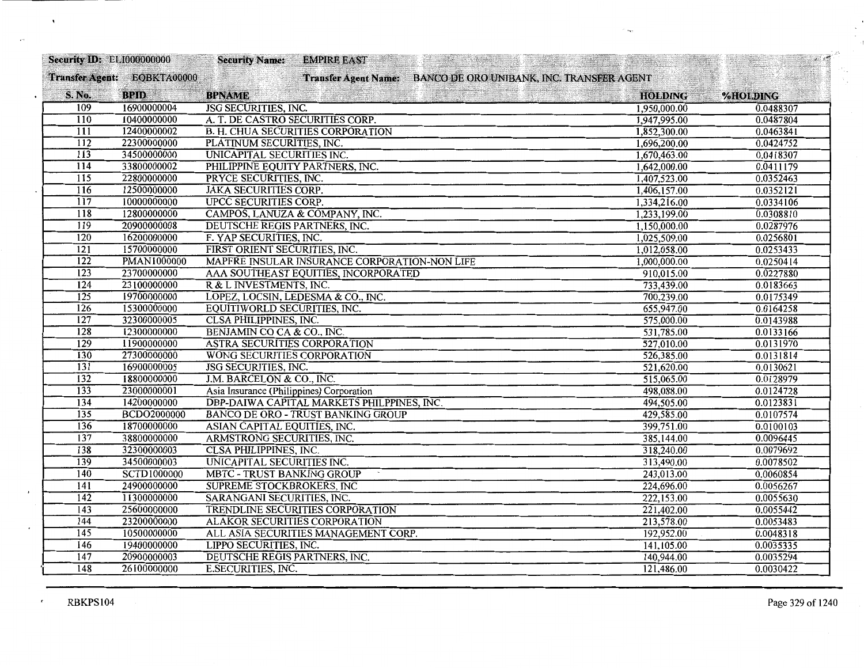| <b>Security ID: ELI000000000</b> |                             | <b>Security Name:</b>                    | <b>EMPIRE EAST</b>                            |                                                                |                | $\mathcal{L} \rightarrow \mathcal{L}$ |
|----------------------------------|-----------------------------|------------------------------------------|-----------------------------------------------|----------------------------------------------------------------|----------------|---------------------------------------|
|                                  | Transfer Agent: EQBKTA00000 |                                          |                                               | Transfer Agent Name: BANCO DE ORO UNIBANK, INC. TRANSFER AGENT |                |                                       |
| S. No.                           | <b>BPID</b>                 | <b>BPNAME</b>                            |                                               |                                                                | <b>HOLDING</b> | %HOLDING                              |
| 109                              | 16900000004                 | <b>JSG SECURITIES, INC.</b>              |                                               |                                                                | 1,950,000.00   | 0.0488307                             |
| 110                              | 10400000000                 | A. T. DE CASTRO SECURITIES CORP.         |                                               |                                                                | 1,947,995.00   | 0.0487804                             |
| $\overline{111}$                 | 12400000002                 |                                          | <b>B. H. CHUA SECURITIES CORPORATION</b>      |                                                                | 1,852,300.00   | 0.0463841                             |
| 112                              | 22300000000                 | PLATINUM SECURITIES, INC.                |                                               |                                                                | 1,696,200.00   | 0.0424752                             |
| $\overline{113}$                 | 34500000000                 | UNICAPITAL SECURITIES INC.               |                                               |                                                                | 1,670,463.00   | 0.0418307                             |
| 114                              | 33800000002                 | PHILIPPINE EQUITY PARTNERS, INC.         |                                               |                                                                | 1,642,000.00   | 0.0411179                             |
| $\overline{115}$                 | 22800000000                 | PRYCE SECURITIES, INC.                   |                                               |                                                                | 1,407,523.00   | 0.0352463                             |
| 116                              | 12500000000                 | <b>JAKA SECURITIES CORP.</b>             |                                               |                                                                | 1,406,157.00   | 0.0352121                             |
| $\overline{117}$                 | 1000000000                  | <b>UPCC SECURITIES CORP.</b>             |                                               |                                                                | 1,334,216.00   | 0.0334106                             |
| 118                              | 12800000000                 | CAMPOS, LANUZA & COMPANY, INC.           |                                               |                                                                | 1,233,199.00   | 0.0308810                             |
| 119                              | 20900000008                 | DEUTSCHE REGIS PARTNERS, INC.            |                                               |                                                                | 1,150,000.00   | 0.0287976                             |
| 120                              | 16200000000                 | F. YAP SECURITIES, INC.                  |                                               |                                                                | 1,025,509.00   | 0.0256801                             |
| $\overline{121}$                 | 15700000000                 | FIRST ORIENT SECURITIES, INC.            |                                               |                                                                | 1,012,058.00   | 0.0253433                             |
| $\overline{122}$                 | <b>PMAN1000000</b>          |                                          | MAPFRE INSULAR INSURANCE CORPORATION-NON LIFE |                                                                | 1,000,000.00   | 0.0250414                             |
| $\overline{123}$                 | 23700000000                 |                                          | AAA SOUTHEAST EQUITIES, INCORPORATED          |                                                                | 910,015.00     | 0.0227880                             |
| $\overline{124}$                 | 23100000000                 | R & L INVESTMENTS, INC.                  |                                               |                                                                | 733,439.00     | 0.0183663                             |
| 125                              | 19700000000                 |                                          | LOPEZ, LOCSIN, LEDESMA & CO., INC.            |                                                                | 700,239.00     | 0.0175349                             |
| 126                              | 15300000000                 | EQUITIWORLD SECURITIES, INC.             |                                               |                                                                | 655,947.00     | 0.0164258                             |
| 127                              | 32300000005                 | <b>CLSA PHILIPPINES, INC.</b>            |                                               |                                                                | 575,000.00     | 0.0143988                             |
| $\overline{128}$                 | 12300000000                 | BENJAMIN CO CA & CO., INC.               |                                               |                                                                | 531,785.00     | 0.0133166                             |
| 129                              | 11900000000                 | <b>ASTRA SECURITIES CORPORATION</b>      |                                               |                                                                | 527,010.00     | 0.0131970                             |
| 130                              | 27300000000                 | WONG SECURITIES CORPORATION              |                                               |                                                                | 526,385.00     | 0.0131814                             |
| $\overline{131}$                 | 16900000005                 | <b>JSG SECURITIES, INC.</b>              |                                               |                                                                | 521,620.00     | 0.0130621                             |
| 132                              | 18800000000                 | J.M. BARCELON & CO., INC.                |                                               |                                                                | 515,065.00     | 0.0128979                             |
| 133                              | 23000000001                 | Asia Insurance (Philippines) Corporation |                                               |                                                                | 498,088.00     | 0.0124728                             |
| 134                              | 14200000000                 |                                          | DBP-DAIWA CAPITAL MARKETS PHILPPINES, INC.    |                                                                | 494,505.00     | 0.0123831                             |
| 135                              | <b>BCDO2000000</b>          |                                          | <b>BANCO DE ORO - TRUST BANKING GROUP</b>     |                                                                | 429,585.00     | 0.0107574                             |
| 136                              | 18700000000                 | ASIAN CAPITAL EQUITIES, INC.             |                                               |                                                                | 399,751.00     | 0.0100103                             |
| 137                              | 38800000000                 | ARMSTRONG SECURITIES, INC.               |                                               |                                                                | 385,144.00     | 0.0096445                             |
| 138                              | 32300000003                 | <b>CLSA PHILIPPINES, INC.</b>            |                                               |                                                                | 318,240.00     | 0.0079692                             |
| 139                              | 34500000003                 | UNICAPITAL SECURITIES INC.               |                                               |                                                                | 313,490.00     | 0.0078502                             |
| 140                              | <b>SCTD1000000</b>          | <b>MBTC - TRUST BANKING GROUP</b>        |                                               |                                                                | 243,013.00     | 0.0060854                             |
| 141                              | 24900000000                 | <b>SUPREME STOCKBROKERS, INC.</b>        |                                               |                                                                | 224,696.00     | 0.0056267                             |
| $\overline{142}$                 | 11300000000                 | SARANGANI SECURITIES, INC.               |                                               |                                                                | 222,153.00     | 0.0055630                             |
| 143                              | 25600000000                 |                                          | <b>TRENDLINE SECURITIES CORPORATION</b>       |                                                                | 221,402.00     | 0.0055442                             |
| 144                              | 23200000000                 | <b>ALAKOR SECURITIES CORPORATION</b>     |                                               |                                                                | 213,578.00     | 0.0053483                             |
| 145                              | 10500000000                 |                                          | ALL ASIA SECURITIES MANAGEMENT CORP.          |                                                                | 192,952.00     | 0.0048318                             |
| <b>146</b>                       | 19400000000                 | LIPPO SECURITIES, INC.                   |                                               |                                                                | 141,105.00     | 0.0035335                             |
| $\overline{147}$                 | 20900000003                 | DEUTSCHE REGIS PARTNERS, INC.            |                                               |                                                                | 140,944.00     | 0.0035294                             |
| 148                              | 26100000000                 | <b>E.SECURITIES, INC.</b>                |                                               |                                                                | 121,486.00     | 0.0030422                             |

 $\pmb{\epsilon}$ 

 $\cdot$ 

 $\mathcal{P}^{\mathcal{A}}$ ς.  $\gamma_{\rm{B}}$